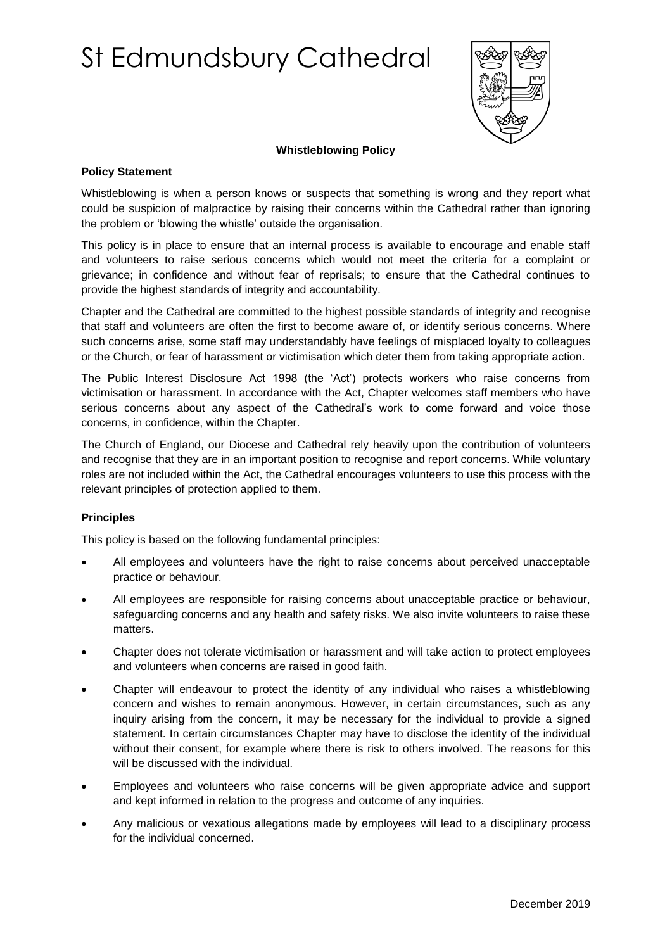# St Edmundsbury Cathedral



## **Whistleblowing Policy**

## **Policy Statement**

Whistleblowing is when a person knows or suspects that something is wrong and they report what could be suspicion of malpractice by raising their concerns within the Cathedral rather than ignoring the problem or 'blowing the whistle' outside the organisation.

This policy is in place to ensure that an internal process is available to encourage and enable staff and volunteers to raise serious concerns which would not meet the criteria for a complaint or grievance; in confidence and without fear of reprisals; to ensure that the Cathedral continues to provide the highest standards of integrity and accountability.

Chapter and the Cathedral are committed to the highest possible standards of integrity and recognise that staff and volunteers are often the first to become aware of, or identify serious concerns. Where such concerns arise, some staff may understandably have feelings of misplaced loyalty to colleagues or the Church, or fear of harassment or victimisation which deter them from taking appropriate action.

The Public Interest Disclosure Act 1998 (the 'Act') protects workers who raise concerns from victimisation or harassment. In accordance with the Act, Chapter welcomes staff members who have serious concerns about any aspect of the Cathedral's work to come forward and voice those concerns, in confidence, within the Chapter.

The Church of England, our Diocese and Cathedral rely heavily upon the contribution of volunteers and recognise that they are in an important position to recognise and report concerns. While voluntary roles are not included within the Act, the Cathedral encourages volunteers to use this process with the relevant principles of protection applied to them.

## **Principles**

This policy is based on the following fundamental principles:

- All employees and volunteers have the right to raise concerns about perceived unacceptable practice or behaviour.
- All employees are responsible for raising concerns about unacceptable practice or behaviour, safeguarding concerns and any health and safety risks. We also invite volunteers to raise these matters.
- Chapter does not tolerate victimisation or harassment and will take action to protect employees and volunteers when concerns are raised in good faith.
- Chapter will endeavour to protect the identity of any individual who raises a whistleblowing concern and wishes to remain anonymous. However, in certain circumstances, such as any inquiry arising from the concern, it may be necessary for the individual to provide a signed statement. In certain circumstances Chapter may have to disclose the identity of the individual without their consent, for example where there is risk to others involved. The reasons for this will be discussed with the individual.
- Employees and volunteers who raise concerns will be given appropriate advice and support and kept informed in relation to the progress and outcome of any inquiries.
- Any malicious or vexatious allegations made by employees will lead to a disciplinary process for the individual concerned.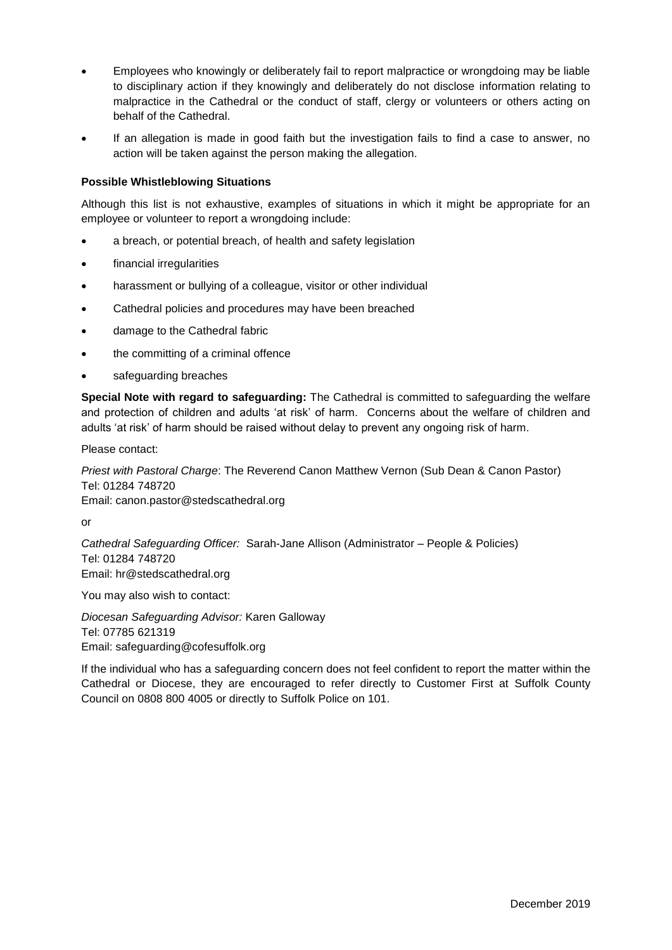- Employees who knowingly or deliberately fail to report malpractice or wrongdoing may be liable to disciplinary action if they knowingly and deliberately do not disclose information relating to malpractice in the Cathedral or the conduct of staff, clergy or volunteers or others acting on behalf of the Cathedral.
- If an allegation is made in good faith but the investigation fails to find a case to answer, no action will be taken against the person making the allegation.

## **Possible Whistleblowing Situations**

Although this list is not exhaustive, examples of situations in which it might be appropriate for an employee or volunteer to report a wrongdoing include:

- a breach, or potential breach, of health and safety legislation
- financial irregularities
- harassment or bullying of a colleague, visitor or other individual
- Cathedral policies and procedures may have been breached
- damage to the Cathedral fabric
- the committing of a criminal offence
- safeguarding breaches

**Special Note with regard to safeguarding:** The Cathedral is committed to safeguarding the welfare and protection of children and adults 'at risk' of harm. Concerns about the welfare of children and adults 'at risk' of harm should be raised without delay to prevent any ongoing risk of harm.

Please contact:

*Priest with Pastoral Charge*: The Reverend Canon Matthew Vernon (Sub Dean & Canon Pastor) Tel: 01284 748720 Email: canon.pastor@stedscathedral.org

or

*Cathedral Safeguarding Officer:* Sarah-Jane Allison (Administrator – People & Policies) Tel: 01284 748720 Email: hr@stedscathedral.org

You may also wish to contact:

*Diocesan Safeguarding Advisor:* Karen Galloway Tel: 07785 621319 Email: safeguarding@cofesuffolk.org

If the individual who has a safeguarding concern does not feel confident to report the matter within the Cathedral or Diocese, they are encouraged to refer directly to Customer First at Suffolk County Council on 0808 800 4005 or directly to Suffolk Police on 101.